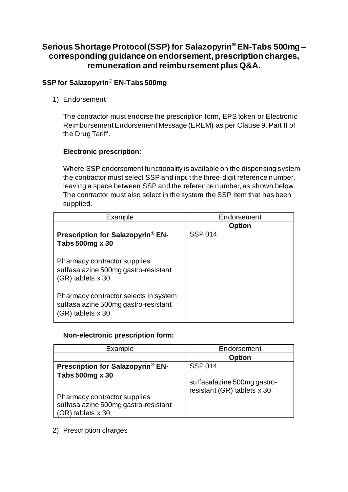# **Serious Shortage Protocol (SSP) for Salazopyrin® EN-Tabs 500mg – corresponding guidance on endorsement, prescription charges, remuneration and reimbursement plus Q&A.**

## **SSP for Salazopyrin® EN-Tabs 500mg**

1) Endorsement

The contractor must endorse the prescription form, EPS token or Electronic Reimbursement Endorsement Message (EREM) as per Clause 9, Part II of the Drug Tariff.

### **Electronic prescription:**

Where SSP endorsement functionality is available on the dispensing system the contractor must select SSP and input the three-digit reference number, leaving a space between SSP and the reference number, as shown below. The contractor must also select in the system the SSP item that has been supplied.

| Example                                                                                            | Endorsement   |
|----------------------------------------------------------------------------------------------------|---------------|
|                                                                                                    | <b>Option</b> |
| <b>Prescription for Salazopyrin<sup>®</sup> EN-</b>                                                | <b>SSP014</b> |
| Tabs 500mg x 30                                                                                    |               |
| Pharmacy contractor supplies<br>sulfasalazine 500mg gastro-resistant<br>$(GR)$ tablets $x 30$      |               |
| Pharmacy contractor selects in system<br>sulfasalazine 500mg gastro-resistant<br>(GR) tablets x 30 |               |

### **Non-electronic prescription form:**

| Example                              | Endorsement                 |
|--------------------------------------|-----------------------------|
|                                      | <b>Option</b>               |
| Prescription for Salazopyrin® EN-    | <b>SSP014</b>               |
| Tabs 500mg x 30                      |                             |
|                                      | sulfasalazine 500mg gastro- |
| Pharmacy contractor supplies         | resistant (GR) tablets x 30 |
| sulfasalazine 500mg gastro-resistant |                             |
| (GR) tablets x 30                    |                             |

### 2) Prescription charges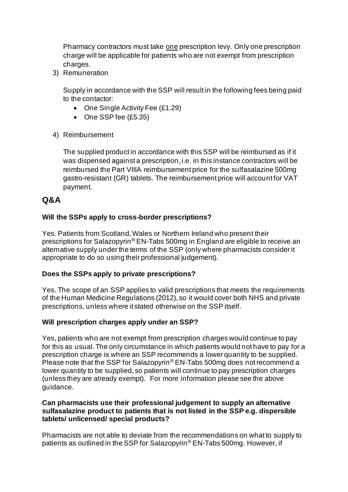Pharmacy contractors must take one prescription levy. Only one prescription charge will be applicable for patients who are not exempt from prescription charges.

3) Remuneration

Supply in accordance with the SSP will result in the following fees being paid to the contactor:

- One Single Activity Fee (£1.29)
- One SSP fee (£5.35)
- 4) Reimbursement

The supplied product in accordance with this SSP will be reimbursed as if it was dispensed against a prescription, i.e. in this instance contractors will be reimbursed the Part VIIIA reimbursement price for the sulfasalazine 500mg gastro-resistant (GR) tablets. The reimbursement price will account for VAT payment.

## **Q&A**

## **Will the SSPs apply to cross-border prescriptions?**

Yes. Patients from Scotland, Wales or Northern Ireland who present their prescriptions for Salazopyrin® EN-Tabs 500mg in England are eligible to receive an alternative supply under the terms of the SSP (only where pharmacists consider it appropriate to do so using their professional judgement).

### **Does the SSPs apply to private prescriptions?**

Yes. The scope of an SSP applies to valid prescriptions that meets the requirements of the Human Medicine Regulations (2012), so it would cover both NHS and private prescriptions, unless where it stated otherwise on the SSP itself.

### **Will prescription charges apply under an SSP?**

Yes, patients who are not exempt from prescription charges would continue to pay for this as usual. The only circumstance in which patients would not have to pay for a prescription charge is where an SSP recommends a lower quantity to be supplied. Please note that the SSP for Salazopyrin® EN-Tabs 500mg does not recommend a lower quantity to be supplied, so patients will continue to pay prescription charges (unless they are already exempt). For more information please see the above guidance.

### **Can pharmacists use their professional judgement to supply an alternative sulfasalazine product to patients that is not listed in the SSP e.g. dispersible tablets/ unlicensed/ special products?**

Pharmacists are not able to deviate from the recommendations on what to supply to patients as outlined in the SSP for Salazopyrin® EN-Tabs 500mg. However, if